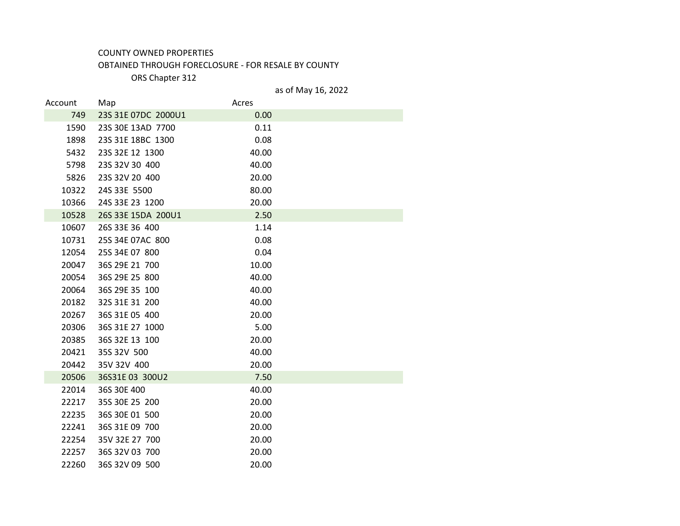## COUNTY OWNED PROPERTIES

## OBTAINED THROUGH FORECLOSURE - FOR RESALE BY COUNTY

ORS Chapter 312

## as of May 16, 2022

| Account | Map                 | Acres |  |
|---------|---------------------|-------|--|
| 749     | 23S 31E 07DC 2000U1 | 0.00  |  |
| 1590    | 23S 30E 13AD 7700   | 0.11  |  |
| 1898    | 23S 31E 18BC 1300   | 0.08  |  |
| 5432    | 23S 32E 12 1300     | 40.00 |  |
| 5798    | 23S 32V 30 400      | 40.00 |  |
| 5826    | 23S 32V 20 400      | 20.00 |  |
| 10322   | 24S 33E 5500        | 80.00 |  |
| 10366   | 24S 33E 23 1200     | 20.00 |  |
| 10528   | 26S 33E 15DA 200U1  | 2.50  |  |
| 10607   | 26S 33E 36 400      | 1.14  |  |
| 10731   | 25S 34E 07AC 800    | 0.08  |  |
| 12054   | 25S 34E 07 800      | 0.04  |  |
| 20047   | 36S 29E 21 700      | 10.00 |  |
| 20054   | 36S 29E 25 800      | 40.00 |  |
| 20064   | 36S 29E 35 100      | 40.00 |  |
| 20182   | 32S 31E 31 200      | 40.00 |  |
| 20267   | 36S 31E 05 400      | 20.00 |  |
| 20306   | 36S 31E 27 1000     | 5.00  |  |
| 20385   | 36S 32E 13 100      | 20.00 |  |
| 20421   | 35S 32V 500         | 40.00 |  |
| 20442   | 35V 32V 400         | 20.00 |  |
| 20506   | 36S31E 03 300U2     | 7.50  |  |
| 22014   | 36S 30E 400         | 40.00 |  |
| 22217   | 35S 30E 25 200      | 20.00 |  |
| 22235   | 36S 30E 01 500      | 20.00 |  |
| 22241   | 36S 31E 09 700      | 20.00 |  |
| 22254   | 35V 32E 27 700      | 20.00 |  |
| 22257   | 36S 32V 03 700      | 20.00 |  |
| 22260   | 36S 32V 09 500      | 20.00 |  |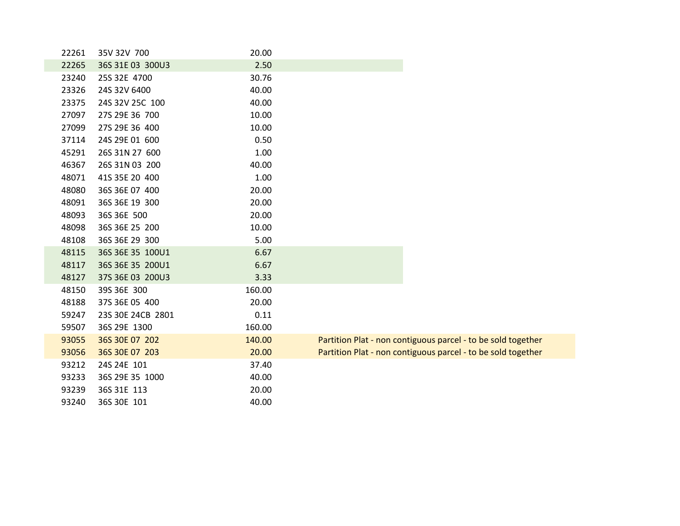| 22261 | 35V 32V 700       | 20.00  |                                                              |
|-------|-------------------|--------|--------------------------------------------------------------|
| 22265 | 36S 31E 03 300U3  | 2.50   |                                                              |
| 23240 | 25S 32E 4700      | 30.76  |                                                              |
| 23326 | 24S 32V 6400      | 40.00  |                                                              |
| 23375 | 24S 32V 25C 100   | 40.00  |                                                              |
| 27097 | 27S 29E 36 700    | 10.00  |                                                              |
| 27099 | 27S 29E 36 400    | 10.00  |                                                              |
| 37114 | 24S 29E 01 600    | 0.50   |                                                              |
| 45291 | 26S 31N 27 600    | 1.00   |                                                              |
| 46367 | 26S 31N 03 200    | 40.00  |                                                              |
| 48071 | 41S 35E 20 400    | 1.00   |                                                              |
| 48080 | 36S 36E 07 400    | 20.00  |                                                              |
| 48091 | 36S 36E 19 300    | 20.00  |                                                              |
| 48093 | 36S 36E 500       | 20.00  |                                                              |
| 48098 | 36S 36E 25 200    | 10.00  |                                                              |
| 48108 | 36S 36E 29 300    | 5.00   |                                                              |
| 48115 | 36S 36E 35 100U1  | 6.67   |                                                              |
| 48117 | 36S 36E 35 200U1  | 6.67   |                                                              |
| 48127 | 37S 36E 03 200U3  | 3.33   |                                                              |
| 48150 | 39S 36E 300       | 160.00 |                                                              |
| 48188 | 37S 36E 05 400    | 20.00  |                                                              |
| 59247 | 23S 30E 24CB 2801 | 0.11   |                                                              |
| 59507 | 36S 29E 1300      | 160.00 |                                                              |
| 93055 | 36S 30E 07 202    | 140.00 | Partition Plat - non contiguous parcel - to be sold together |
| 93056 | 36S 30E 07 203    | 20.00  | Partition Plat - non contiguous parcel - to be sold together |
| 93212 | 24S 24E 101       | 37.40  |                                                              |
| 93233 | 36S 29E 35 1000   | 40.00  |                                                              |
| 93239 | 36S 31E 113       | 20.00  |                                                              |
| 93240 | 36S 30E 101       | 40.00  |                                                              |